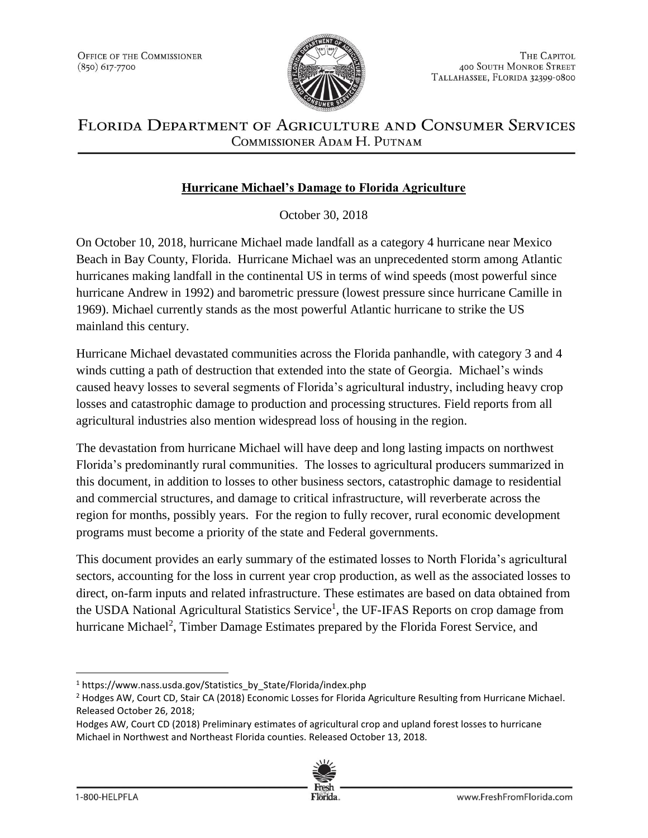

# FLORIDA DEPARTMENT OF AGRICULTURE AND CONSUMER SERVICES COMMISSIONER ADAM H. PUTNAM

# **Hurricane Michael's Damage to Florida Agriculture**

October 30, 2018

On October 10, 2018, hurricane Michael made landfall as a category 4 hurricane near Mexico Beach in Bay County, Florida. Hurricane Michael was an unprecedented storm among Atlantic hurricanes making landfall in the continental US in terms of wind speeds (most powerful since hurricane Andrew in 1992) and barometric pressure (lowest pressure since hurricane Camille in 1969). Michael currently stands as the most powerful Atlantic hurricane to strike the US mainland this century.

Hurricane Michael devastated communities across the Florida panhandle, with category 3 and 4 winds cutting a path of destruction that extended into the state of Georgia. Michael's winds caused heavy losses to several segments of Florida's agricultural industry, including heavy crop losses and catastrophic damage to production and processing structures. Field reports from all agricultural industries also mention widespread loss of housing in the region.

The devastation from hurricane Michael will have deep and long lasting impacts on northwest Florida's predominantly rural communities. The losses to agricultural producers summarized in this document, in addition to losses to other business sectors, catastrophic damage to residential and commercial structures, and damage to critical infrastructure, will reverberate across the region for months, possibly years. For the region to fully recover, rural economic development programs must become a priority of the state and Federal governments.

This document provides an early summary of the estimated losses to North Florida's agricultural sectors, accounting for the loss in current year crop production, as well as the associated losses to direct, on-farm inputs and related infrastructure. These estimates are based on data obtained from the USDA National Agricultural Statistics Service<sup>1</sup>, the UF-IFAS Reports on crop damage from hurricane Michael<sup>2</sup>, Timber Damage Estimates prepared by the Florida Forest Service, and

Hodges AW, Court CD (2018) Preliminary estimates of agricultural crop and upland forest losses to hurricane Michael in Northwest and Northeast Florida counties. Released October 13, 2018.



l

<sup>&</sup>lt;sup>1</sup> https://www.nass.usda.gov/Statistics\_by\_State/Florida/index.php

<sup>&</sup>lt;sup>2</sup> Hodges AW, Court CD, Stair CA (2018) Economic Losses for Florida Agriculture Resulting from Hurricane Michael. Released October 26, 2018;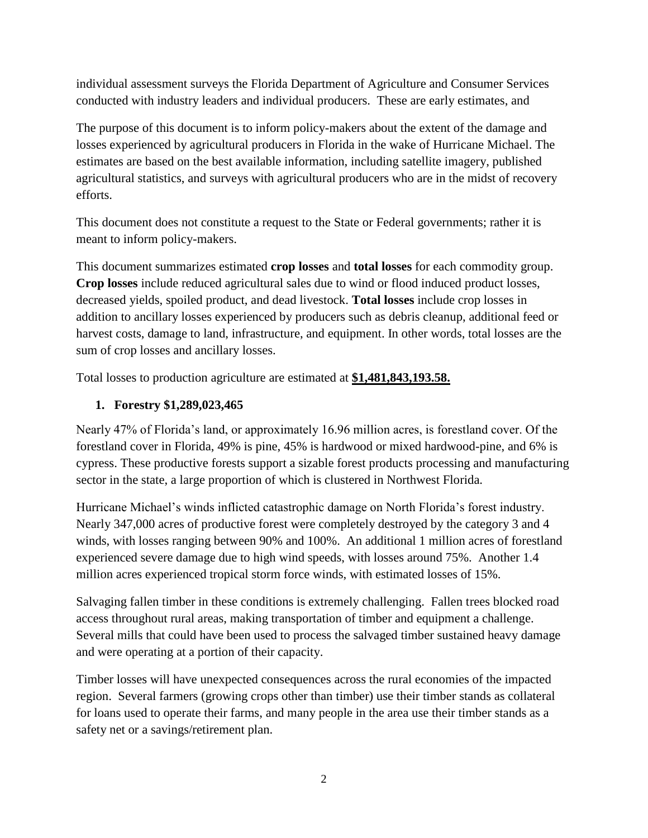individual assessment surveys the Florida Department of Agriculture and Consumer Services conducted with industry leaders and individual producers. These are early estimates, and

The purpose of this document is to inform policy-makers about the extent of the damage and losses experienced by agricultural producers in Florida in the wake of Hurricane Michael. The estimates are based on the best available information, including satellite imagery, published agricultural statistics, and surveys with agricultural producers who are in the midst of recovery efforts.

This document does not constitute a request to the State or Federal governments; rather it is meant to inform policy-makers.

This document summarizes estimated **crop losses** and **total losses** for each commodity group. **Crop losses** include reduced agricultural sales due to wind or flood induced product losses, decreased yields, spoiled product, and dead livestock. **Total losses** include crop losses in addition to ancillary losses experienced by producers such as debris cleanup, additional feed or harvest costs, damage to land, infrastructure, and equipment. In other words, total losses are the sum of crop losses and ancillary losses.

Total losses to production agriculture are estimated at **\$1,481,843,193.58.**

#### **1. Forestry \$1,289,023,465**

Nearly 47% of Florida's land, or approximately 16.96 million acres, is forestland cover. Of the forestland cover in Florida, 49% is pine, 45% is hardwood or mixed hardwood-pine, and 6% is cypress. These productive forests support a sizable forest products processing and manufacturing sector in the state, a large proportion of which is clustered in Northwest Florida.

Hurricane Michael's winds inflicted catastrophic damage on North Florida's forest industry. Nearly 347,000 acres of productive forest were completely destroyed by the category 3 and 4 winds, with losses ranging between 90% and 100%. An additional 1 million acres of forestland experienced severe damage due to high wind speeds, with losses around 75%. Another 1.4 million acres experienced tropical storm force winds, with estimated losses of 15%.

Salvaging fallen timber in these conditions is extremely challenging. Fallen trees blocked road access throughout rural areas, making transportation of timber and equipment a challenge. Several mills that could have been used to process the salvaged timber sustained heavy damage and were operating at a portion of their capacity.

Timber losses will have unexpected consequences across the rural economies of the impacted region. Several farmers (growing crops other than timber) use their timber stands as collateral for loans used to operate their farms, and many people in the area use their timber stands as a safety net or a savings/retirement plan.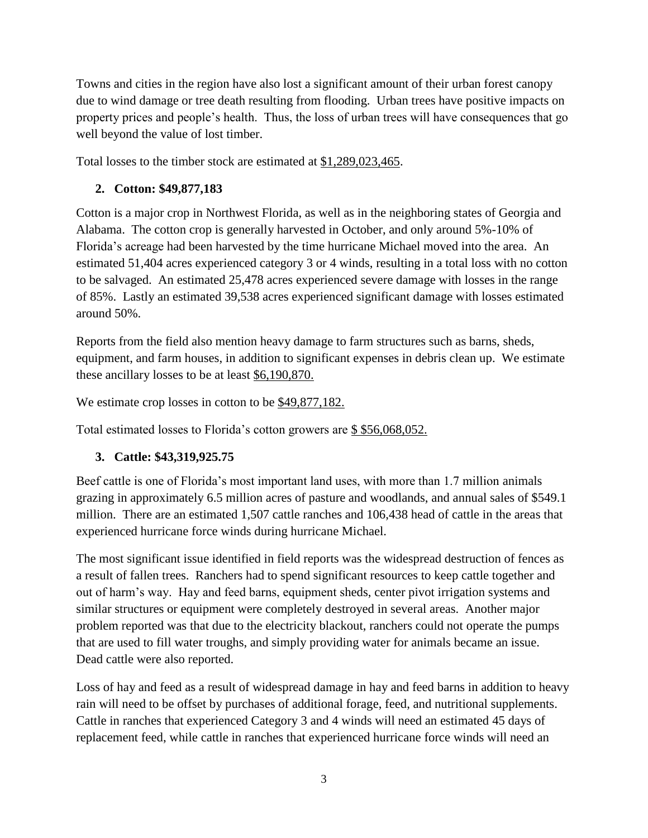Towns and cities in the region have also lost a significant amount of their urban forest canopy due to wind damage or tree death resulting from flooding. Urban trees have positive impacts on property prices and people's health. Thus, the loss of urban trees will have consequences that go well beyond the value of lost timber.

Total losses to the timber stock are estimated at \$1,289,023,465.

#### **2. Cotton: \$49,877,183**

Cotton is a major crop in Northwest Florida, as well as in the neighboring states of Georgia and Alabama. The cotton crop is generally harvested in October, and only around 5%-10% of Florida's acreage had been harvested by the time hurricane Michael moved into the area. An estimated 51,404 acres experienced category 3 or 4 winds, resulting in a total loss with no cotton to be salvaged. An estimated 25,478 acres experienced severe damage with losses in the range of 85%. Lastly an estimated 39,538 acres experienced significant damage with losses estimated around 50%.

Reports from the field also mention heavy damage to farm structures such as barns, sheds, equipment, and farm houses, in addition to significant expenses in debris clean up. We estimate these ancillary losses to be at least \$6,190,870.

We estimate crop losses in cotton to be \$49,877,182.

Total estimated losses to Florida's cotton growers are \$ \$56,068,052.

# **3. Cattle: \$43,319,925.75**

Beef cattle is one of Florida's most important land uses, with more than 1.7 million animals grazing in approximately 6.5 million acres of pasture and woodlands, and annual sales of \$549.1 million. There are an estimated 1,507 cattle ranches and 106,438 head of cattle in the areas that experienced hurricane force winds during hurricane Michael.

The most significant issue identified in field reports was the widespread destruction of fences as a result of fallen trees. Ranchers had to spend significant resources to keep cattle together and out of harm's way. Hay and feed barns, equipment sheds, center pivot irrigation systems and similar structures or equipment were completely destroyed in several areas. Another major problem reported was that due to the electricity blackout, ranchers could not operate the pumps that are used to fill water troughs, and simply providing water for animals became an issue. Dead cattle were also reported.

Loss of hay and feed as a result of widespread damage in hay and feed barns in addition to heavy rain will need to be offset by purchases of additional forage, feed, and nutritional supplements. Cattle in ranches that experienced Category 3 and 4 winds will need an estimated 45 days of replacement feed, while cattle in ranches that experienced hurricane force winds will need an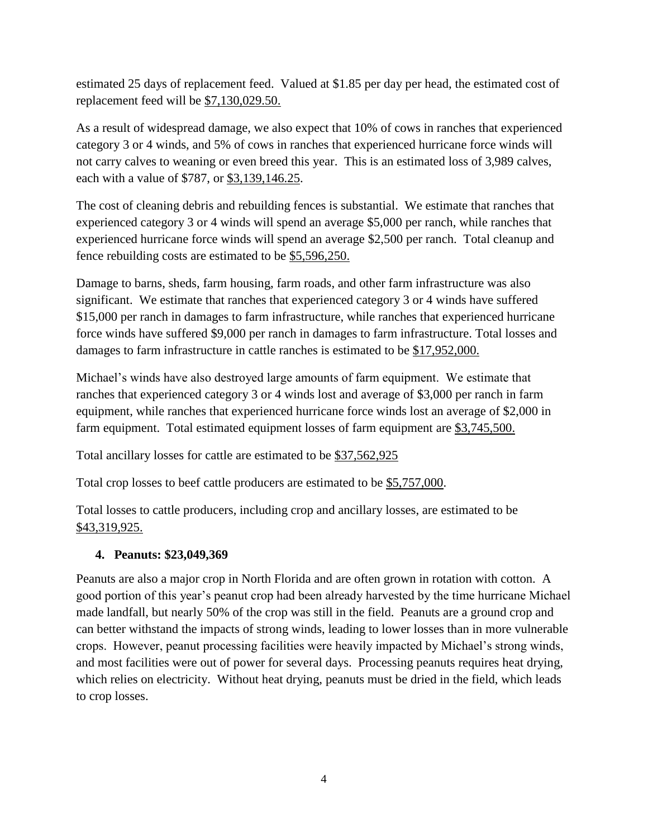estimated 25 days of replacement feed. Valued at \$1.85 per day per head, the estimated cost of replacement feed will be \$7,130,029.50.

As a result of widespread damage, we also expect that 10% of cows in ranches that experienced category 3 or 4 winds, and 5% of cows in ranches that experienced hurricane force winds will not carry calves to weaning or even breed this year. This is an estimated loss of 3,989 calves, each with a value of \$787, or \$3,139,146.25.

The cost of cleaning debris and rebuilding fences is substantial. We estimate that ranches that experienced category 3 or 4 winds will spend an average \$5,000 per ranch, while ranches that experienced hurricane force winds will spend an average \$2,500 per ranch. Total cleanup and fence rebuilding costs are estimated to be \$5,596,250.

Damage to barns, sheds, farm housing, farm roads, and other farm infrastructure was also significant. We estimate that ranches that experienced category 3 or 4 winds have suffered \$15,000 per ranch in damages to farm infrastructure, while ranches that experienced hurricane force winds have suffered \$9,000 per ranch in damages to farm infrastructure. Total losses and damages to farm infrastructure in cattle ranches is estimated to be \$17,952,000.

Michael's winds have also destroyed large amounts of farm equipment. We estimate that ranches that experienced category 3 or 4 winds lost and average of \$3,000 per ranch in farm equipment, while ranches that experienced hurricane force winds lost an average of \$2,000 in farm equipment. Total estimated equipment losses of farm equipment are \$3,745,500.

Total ancillary losses for cattle are estimated to be \$37,562,925

Total crop losses to beef cattle producers are estimated to be \$5,757,000.

Total losses to cattle producers, including crop and ancillary losses, are estimated to be \$43,319,925.

#### **4. Peanuts: \$23,049,369**

Peanuts are also a major crop in North Florida and are often grown in rotation with cotton. A good portion of this year's peanut crop had been already harvested by the time hurricane Michael made landfall, but nearly 50% of the crop was still in the field. Peanuts are a ground crop and can better withstand the impacts of strong winds, leading to lower losses than in more vulnerable crops. However, peanut processing facilities were heavily impacted by Michael's strong winds, and most facilities were out of power for several days. Processing peanuts requires heat drying, which relies on electricity. Without heat drying, peanuts must be dried in the field, which leads to crop losses.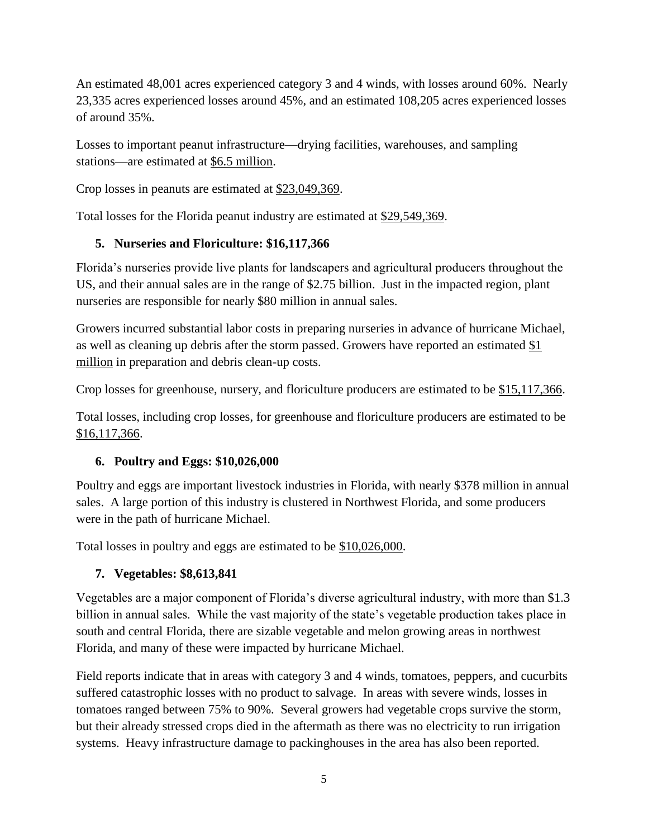An estimated 48,001 acres experienced category 3 and 4 winds, with losses around 60%. Nearly 23,335 acres experienced losses around 45%, and an estimated 108,205 acres experienced losses of around 35%.

Losses to important peanut infrastructure—drying facilities, warehouses, and sampling stations—are estimated at \$6.5 million.

Crop losses in peanuts are estimated at \$23,049,369.

Total losses for the Florida peanut industry are estimated at \$29,549,369.

# **5. Nurseries and Floriculture: \$16,117,366**

Florida's nurseries provide live plants for landscapers and agricultural producers throughout the US, and their annual sales are in the range of \$2.75 billion. Just in the impacted region, plant nurseries are responsible for nearly \$80 million in annual sales.

Growers incurred substantial labor costs in preparing nurseries in advance of hurricane Michael, as well as cleaning up debris after the storm passed. Growers have reported an estimated  $\S1$ million in preparation and debris clean-up costs.

Crop losses for greenhouse, nursery, and floriculture producers are estimated to be \$15,117,366.

Total losses, including crop losses, for greenhouse and floriculture producers are estimated to be \$16,117,366.

# **6. Poultry and Eggs: \$10,026,000**

Poultry and eggs are important livestock industries in Florida, with nearly \$378 million in annual sales. A large portion of this industry is clustered in Northwest Florida, and some producers were in the path of hurricane Michael.

Total losses in poultry and eggs are estimated to be \$10,026,000.

# **7. Vegetables: \$8,613,841**

Vegetables are a major component of Florida's diverse agricultural industry, with more than \$1.3 billion in annual sales. While the vast majority of the state's vegetable production takes place in south and central Florida, there are sizable vegetable and melon growing areas in northwest Florida, and many of these were impacted by hurricane Michael.

Field reports indicate that in areas with category 3 and 4 winds, tomatoes, peppers, and cucurbits suffered catastrophic losses with no product to salvage. In areas with severe winds, losses in tomatoes ranged between 75% to 90%. Several growers had vegetable crops survive the storm, but their already stressed crops died in the aftermath as there was no electricity to run irrigation systems. Heavy infrastructure damage to packinghouses in the area has also been reported.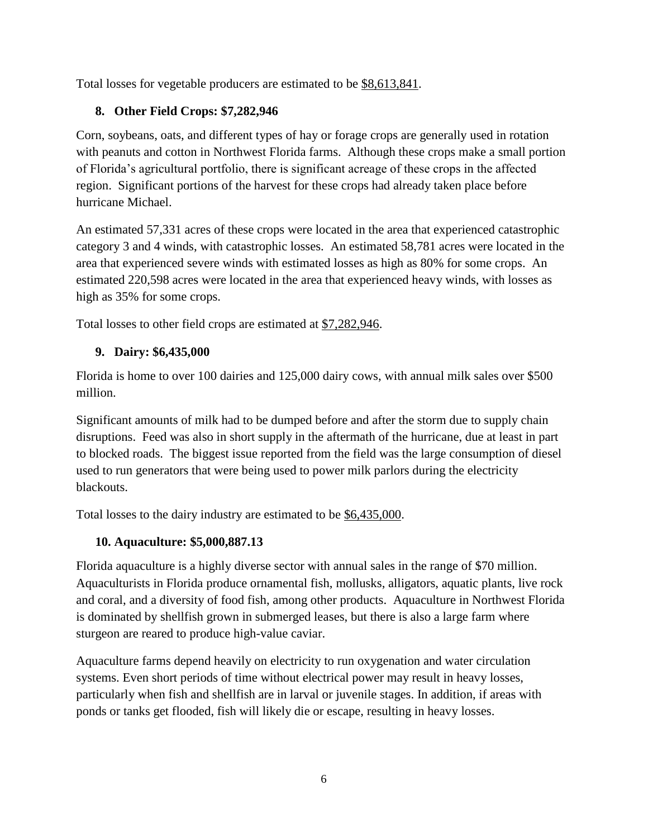Total losses for vegetable producers are estimated to be \$8,613,841.

# **8. Other Field Crops: \$7,282,946**

Corn, soybeans, oats, and different types of hay or forage crops are generally used in rotation with peanuts and cotton in Northwest Florida farms. Although these crops make a small portion of Florida's agricultural portfolio, there is significant acreage of these crops in the affected region. Significant portions of the harvest for these crops had already taken place before hurricane Michael.

An estimated 57,331 acres of these crops were located in the area that experienced catastrophic category 3 and 4 winds, with catastrophic losses. An estimated 58,781 acres were located in the area that experienced severe winds with estimated losses as high as 80% for some crops. An estimated 220,598 acres were located in the area that experienced heavy winds, with losses as high as 35% for some crops.

Total losses to other field crops are estimated at \$7,282,946.

# **9. Dairy: \$6,435,000**

Florida is home to over 100 dairies and 125,000 dairy cows, with annual milk sales over \$500 million.

Significant amounts of milk had to be dumped before and after the storm due to supply chain disruptions. Feed was also in short supply in the aftermath of the hurricane, due at least in part to blocked roads. The biggest issue reported from the field was the large consumption of diesel used to run generators that were being used to power milk parlors during the electricity blackouts.

Total losses to the dairy industry are estimated to be \$6,435,000.

# **10. Aquaculture: \$5,000,887.13**

Florida aquaculture is a highly diverse sector with annual sales in the range of \$70 million. Aquaculturists in Florida produce ornamental fish, mollusks, alligators, aquatic plants, live rock and coral, and a diversity of food fish, among other products. Aquaculture in Northwest Florida is dominated by shellfish grown in submerged leases, but there is also a large farm where sturgeon are reared to produce high-value caviar.

Aquaculture farms depend heavily on electricity to run oxygenation and water circulation systems. Even short periods of time without electrical power may result in heavy losses, particularly when fish and shellfish are in larval or juvenile stages. In addition, if areas with ponds or tanks get flooded, fish will likely die or escape, resulting in heavy losses.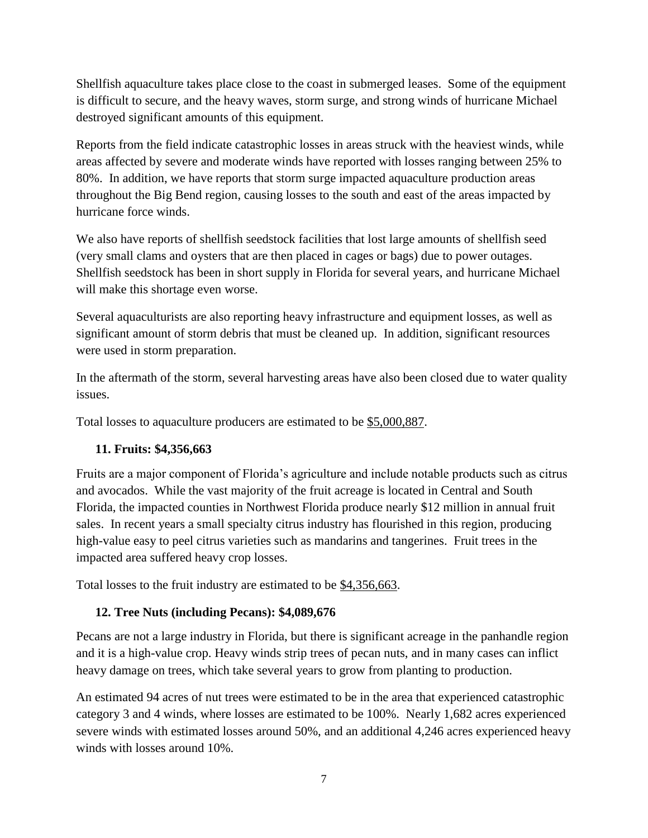Shellfish aquaculture takes place close to the coast in submerged leases. Some of the equipment is difficult to secure, and the heavy waves, storm surge, and strong winds of hurricane Michael destroyed significant amounts of this equipment.

Reports from the field indicate catastrophic losses in areas struck with the heaviest winds, while areas affected by severe and moderate winds have reported with losses ranging between 25% to 80%. In addition, we have reports that storm surge impacted aquaculture production areas throughout the Big Bend region, causing losses to the south and east of the areas impacted by hurricane force winds.

We also have reports of shellfish seedstock facilities that lost large amounts of shellfish seed (very small clams and oysters that are then placed in cages or bags) due to power outages. Shellfish seedstock has been in short supply in Florida for several years, and hurricane Michael will make this shortage even worse.

Several aquaculturists are also reporting heavy infrastructure and equipment losses, as well as significant amount of storm debris that must be cleaned up. In addition, significant resources were used in storm preparation.

In the aftermath of the storm, several harvesting areas have also been closed due to water quality issues.

Total losses to aquaculture producers are estimated to be \$5,000,887.

# **11. Fruits: \$4,356,663**

Fruits are a major component of Florida's agriculture and include notable products such as citrus and avocados. While the vast majority of the fruit acreage is located in Central and South Florida, the impacted counties in Northwest Florida produce nearly \$12 million in annual fruit sales. In recent years a small specialty citrus industry has flourished in this region, producing high-value easy to peel citrus varieties such as mandarins and tangerines. Fruit trees in the impacted area suffered heavy crop losses.

Total losses to the fruit industry are estimated to be \$4,356,663.

# **12. Tree Nuts (including Pecans): \$4,089,676**

Pecans are not a large industry in Florida, but there is significant acreage in the panhandle region and it is a high-value crop. Heavy winds strip trees of pecan nuts, and in many cases can inflict heavy damage on trees, which take several years to grow from planting to production.

An estimated 94 acres of nut trees were estimated to be in the area that experienced catastrophic category 3 and 4 winds, where losses are estimated to be 100%. Nearly 1,682 acres experienced severe winds with estimated losses around 50%, and an additional 4,246 acres experienced heavy winds with losses around 10%.